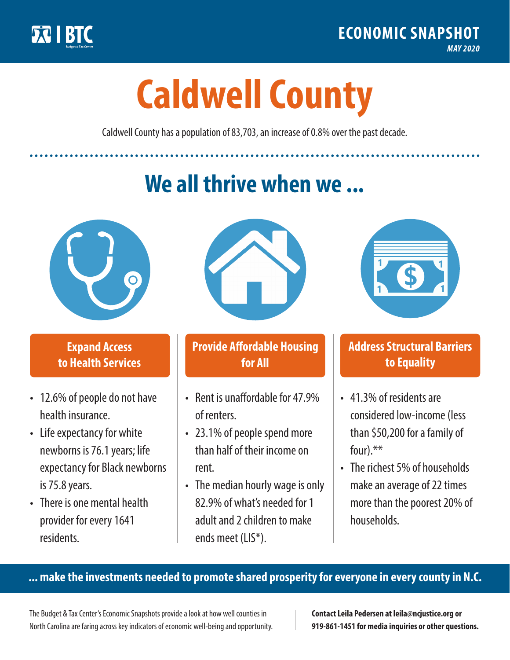

**1**

# **Caldwell County**

Caldwell County has a population of 83,703, an increase of 0.8% over the past decade.

# **We all thrive when we ...**



**\$ <sup>1</sup>**

**\$ <sup>1</sup>**

#### **Expand Access to Health Services**

- 12.6% of people do not have health insurance.
- Life expectancy for white newborns is 76.1years; life expectancy for Black newborns is 75.8years.
- There is one mental health provider for every 1641 residents.



## **Provide Affordable Housing for All**

- Rent is unaffordable for 47 9% of renters.
- 23.1% of people spend more than half of their income on rent.
- The median hourly wage is only 82.9% of what's needed for 1 adult and 2 children to make ends meet (LIS\*).



## **Address Structural Barriers to Equality**

- 41.3% of residents are considered low-income (less than \$50,200 for a family of four).\*\*
- The richest 5% of households make an average of 22 times more than the poorest 20% of households.

#### **... make the investments needed to promote shared prosperity for everyone in every county in N.C.**

The Budget & Tax Center's Economic Snapshots provide a look at how well counties in North Carolina are faring across key indicators of economic well-being and opportunity.